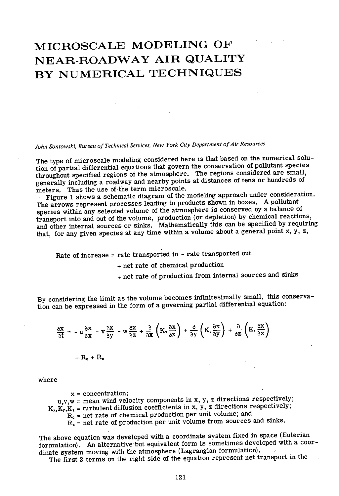# MICROSCALE MODELING OF NEAR-ROADWAY AIR QUALITY BY NUMERICAL TECHNIQUES

*John Sontowski, Bureau of Technical Services, New York City Department of Air Resources* 

The type of microscaie modeling considered here is that based on the numerical solution of partial differential equations that govern the conservation of pollutant species throughout specified regions of the atmosphere. The regions considered are small, generally including a roadway and nearby points at distances of tens or hundreds of meters. Thus the use of the term microscale.

Figure 1 shows a schematic diagram of the modeling approach under consideration. The arrows represent processes leading to products shown in boxes. A pollutant species within any selected volume of the atmosphere is conserved by a balance of transport into and out of the volume, production (or depletion) by chemical reactions, and other internal sources or sinks. Mathematically this can be specified by requiring that, for any given species at any time within a volume about a general point x, y, z,

Rate of increase = rate transported in - rate transported out

+ net rate of chemical production

+ net rate of production from internal sources and sinks

By considering the limit as the volume becomes infinitesimally small, this conservation can be expressed in the form of a governing partial differential equation:

$$
\frac{\partial x}{\partial t} = -u \frac{\partial x}{\partial x} - v \frac{\partial x}{\partial y} - w \frac{\partial x}{\partial z} + \frac{\partial}{\partial x} \left( K_x \frac{\partial x}{\partial x} \right) + \frac{\partial}{\partial y} \left( K_y \frac{\partial x}{\partial y} \right) + \frac{\partial}{\partial z} \left( K_z \frac{\partial x}{\partial z} \right)
$$

 $+$   $R_c + R_s$ 

where

 $x = concentration;$  $u,v,w =$  mean wind velocity components in x, y, z directions respectively;  $K_x, K_y, K_z$  = turbulent diffusion coefficients in x, y, z directions respectively;  $R_{c}$  = net rate of chemical production per unit volume; and  $R_{s}$  = net rate of production per unit volume from sources and sinks.

The above equation was developed with a coordinate system fixed in space (Eulerian formulation). An alternative but equivalent form is sometimes developed with a coordinate system moving with the atmosphere (Lagrangian formulation).

The first 3 terms on the right side of the equation represent net transport in the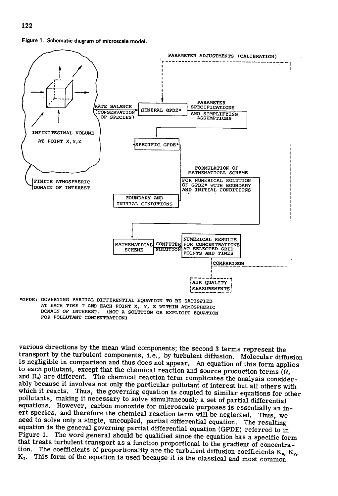



AT EACH TIME T AND EACH POINT X. Y, Z WITHIN ATMOSPHERIC DOMAIN OF INTEREST. (NOT A SOLUTION OR EXPLICIT EQUATION FOR POLLUTANT CONCENTRATION)

various directions by the mean wind components; the second 3 terms represent the transport by the turbulent components, i.e., by turbulent diffusion. Molecular diffusion is negligible in comparison and thus does not appear. An equation of this form applies to each pollutant, except that the chemical reaction and source production terms  $(R_c)$ and  $R<sub>s</sub>$  are different. The chemical reaction term complicates the analysis considerably because it involves not only the particular pollutant of interest but all others with which it reacts. Thus, the governing equation is coupled to similar equations for other pollutants, making it necessary to solve simultaneously a set of partial differential equations. However, carbon monoxide for microscale purposes is essentially an inert species, and therefore the chemical reaction term will be neglected. Thus, we need to solve only a single, uncoupled, partial differential equation. The resulting equation is the general governing partial differential equation (GPDE) referred to in Figure 1. The word general should be qualified since the equation has a specific form that treats turbulent transport as a function proportional to the gradient of concentration. The coefficients of proportionality are the turbulent diffusion coefficients  $K_x$ ,  $K_y$ ,  $K<sub>z</sub>$ . This form of the equation is used because it is the classical and most common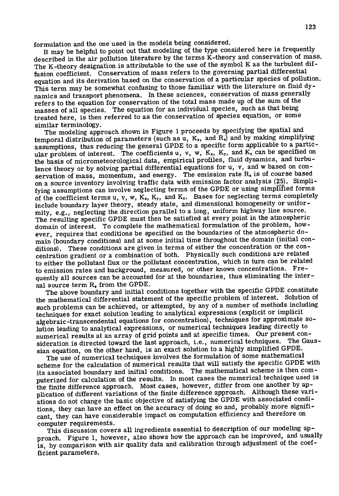formulation and the one used in the models being considered.

It may be helpful to point out that modeling of the type considered here is frequently described in the air pollution literature by the terms K-theory and conservation of mass. The K-theory designation is attributable to the use of the symbol K as the turbulent diffusion coefficient. Conservation of mass refers to the governing partial differential equation and its derivation based on the conservation of a particular species of pollution. This term may be somewhat confusing to those familiar with the literature on fluid dynamics and transport phenomena. In these sciences, conservation of mass generally refers to the equation for conservation of the total mass made up of the sum of the masses of all species. The equation for an individual species, such as that being treated here, is then referred to as the conservation of species equation, or some similar terminology.

The modeling approach shown in Figure 1 proceeds by specifying the spatial and temporal distribution of parameters (such as u,  $K_x$ , and  $R_s$ ) and by making simplifying assumptions, thus reducing the general GPDE to a specific form applicable to a particular problem of interest. The coefficients u, v, w,  $K_x$ ,  $K_y$ , and  $K_z$  can be specified on the basis of micrometeorological data, empirical profiles, fluid dynamics, and turbulence theory or by solving partial differential equations for u, v, and w based on conservation of mass, momentum, and energy. The emission rate R. is of course based on a source inventory involving traffic data with emission factor analysis (25). Simplifying assumptions can involve neglecting terms of the GPDE or using simplified forms of the coefficient terms u, v, w,  $K_x$ ,  $K_y$ , and  $K_z$ . Bases for neglecting terms completely include boundary layer theory, steady state, and dimensional homogeneity or uniformity, e.g., neglecting the direction parallel to a long, uniform highway line source. The resulting specific GPDE must then be satisfied at every point in the atmospheric domain of interest. To complete the mathematical formulation of the problem, however, requires that conditions be specified on the boundaries of the atmospheric domain (boundary conditions) and at some initial time throughout the domain (initial conditions). These conditions are given in terms of either the concentration or the concentration gradient or a combination of both. Physically such conditions are related to either the pollutant flux or the pollutant concentration, which in turn can be related to emission rates and background, measured, or other known concentrations. Frequently all sources can be accounted for at the boundaries, thus eliminating the internal source term R. from the GPDE.

The above boundary and initial conditions together with the specific GPDE constitute the mathematical differential statement of the specific problem of interest. Solution of such problems can be achieved, or attempted, by any of a number of methods including techniques for exact solution leading to analytical expressions (explicit or implicit algebraic -transcendental equations for concentration), techniques for approximate solution leading to analytical expressions, or numerical techniques leading directly to numerical results at an array of grid points and at specific times. Our present consideration is directed toward the last approach, i.e., numerical techniques. The Gaussian equation, on the other hand, is an exact solution to a highly simplified GPDE.

The use of numerical techniques involves the formulation of some mathematical scheme for the calculation of numerical results that will satisfy the specific GPDE with its associated boundary and initial conditions. The mathematical scheme is then computerized for calculation of the results. In most cases the numerical technique used is the finite difference approach. Most cases, however, differ from one another by application of different variations of the finite difference approach. Although these variations do not change the basic objective of satisfying the GPDE with associated conditions, they can have an effect on the accuracy of doing so and, probably more significant, they can have considerable impact on computation efficiency and therefore on computer requirements.

This discussion covers all ingredients essential to description of our modeling approach. Figure 1, however, also shows how the approach can be improved, and usually is, by comparison with air quality data and calibration through adjustment of the coefficient parameters.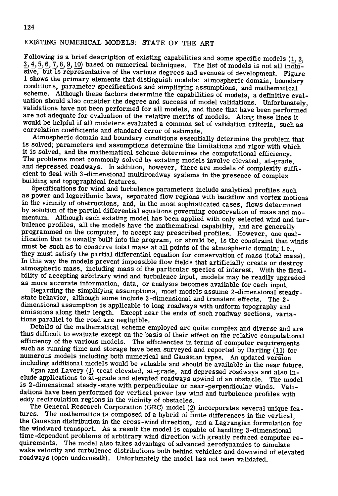### EXISTING NUMERICAL MODELS: STATE OF THE ART

Following is a brief description of existing capabilities and some specific models  $(1, 2, 3)$ 3, 4, 5, 6, 7, 8, 9, 10) based on numerical techniques. The list of models is not all inclusive, but is representative of the various degrees and avenues of development. Figure 1 shows the primary elements that distinguish models: atmospheric domain, boundary conditions, parameter specifications and simplifying assumptions, and mathematical scheme. Although these factors determine the capabilities of models, a definitive evaluation should also consider the degree and success of model validations. Unfortunately, validations have not been performed for all models, and those that have been performed are not adequate for evaluation of the relative merits of models. Along these lines it would be helpful if all modelers evaluated a common set of validation criteria, such as correlation coefficients and standard error of estimate.

Atmospheric domain and boundary conditions essentially determine the problem that is solved; parameters and assumptions determine the limitations and rigor with which it is solved, and the mathematical scheme determines the computational efficiency. The problems most commonly solved by existing models involve elevated, at-grade, and depressed roadways. In addition, however, there are models of complexity sufficient to deal with 3-dimensional multiroadway systems in the presence of complex building and topographical features.

Specifications for wind and turbulence parameters include analytical profiles such as power and logarithmic laws, separated flow regions with backflow and vortex motions in the vicinity of obstructions, and, in the most sophisticated cases, flows determined by solution of the partial differential equations governing conservation of mass and momentum. Although each existing model has been applied with only selected wind and turbulence profiles, all the models have the mathematical capability, and are generally programmed on the computer, to accept any prescribed profiles. However, one qualification that is usually built into the program, or should be, is the constraint that winds must be such as to conserve total mass at all points of the atmospheric domain; i.e., they must satisfy the partial differential equation for conservation of mass (total mass). In this way the models prevent impossible flow fields that artificially create or destroy atmospheric mass, including mass of the particular species of interest. With the flexibility of accepting arbitrary wind and turbulence input, models may be readily upgraded as more accurate information, data, or analysis becomes available for each input.

Regarding the simplifying assumptions, most models assume 2-dimensional steady state behavior, although some include 3-dimensional and transient effects. The 2 dimensional assumption is applicable to long roadways with uniform topography and emissions along their length. Except near the ends of such roadway sections, variations parallel to the road are negligible.

Details of the mathematical scheme employed are quite complex and diverse and are thus difficult to evaluate except on the basis of their effect on the relative computational efficiency of the various models. The efficiencies in terms of computer requirements such as running time and storage have been surveyed and reported by Darling (11) for numerous models including both numerical and Gaussian types. An updated version including additional models would be valuable and should be available in the near future.

Egan and Lavery (1) treat elevated, at-grade, and depressed roadways and also include applications to  $\overline{at}$ -grade and elevated roadways upwind of an obstacle. The model is 2-dimensional steady-state with perpendicular or near -perpendicular winds. Validations have been performed for vertical power law wind and turbulence profiles with eddy recirculation regions in the vicinity of obstacles.

The General Research Corporation (GRC) model (2) incorporates several unique fea-<br>tures. The mathematics is composed of a hybrid of finite differences in the vertical The mathematics is composed of a hybrid of finite differences in the vertical, the Gaussian distribution in the cross-wind direction, and a Lagrangian formulation for the windward transport. As a result the model is capable of handling 3-dimensional time-dependent problems of arbitrary wind direction with greatly reduced computer requirements. The model also takes advantage of advanced aerodynamics to simulate wake velocity and turbulence distributions both behind vehicles and downwind of elevated roadways (open underneath). Unfortunately the model has not been validated.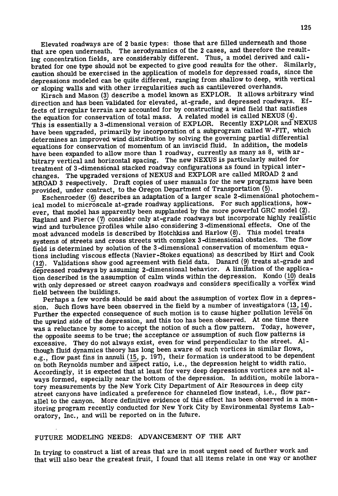Elevated roadways are of 2 basic types: those that are filled underneath and those that are open underneath. The aerodynamics of the 2 cases, and therefore the resulting concentration fields, are considerably different. Thus, a model derived and calibrated for one type should not be expected to give good results for the other. Similarly, caution should be exercised in the application of models for depressed roads, since the depressions modeled can be quite different, ranging from shallow to deep, with vertical or sloping walls and with other irregularities such as cantilevered overhands.

Kirsch and Mason (3) describe a model known as EXPLOR. It allows arbitrary wind direction and has been validated for elevated, at-grade, and depressed roadways. Effects of irregular terrain are accounted for by constructing a wind field that satisfies the equation for conservation of total mass. A related model is called NEXUS (4). This is essentially a 3-dimensional version of EXPLOR. Recently EXPLOR and NEXUS have been upgraded, primarily by incorporation of a subprogram called W-FIT, which determines an improved wind distribution by solving the governing partial differential equations for conservation of momentum of an inviscid fluid. In addition, the models have been expanded to allow more than 1 roadway, currently as many as 8, with arbitrary vertical and horizontal spacing. The new NEXUS is particularly suited for treatment of 3-dimensional stacked roadway configurations as found in typical inter changes. The upgraded versions of NEXUS and EXPLOR are called MROAD 2 and MROAD 3 respectively. Draft copies of user manuals for the new programs have been provided, under contract, to the Oregon Department of Transportation (5).

Eschenroeder (6) describes an adaptation of a larger scale 2-dimensional photochemical model to microscale at-grade roadway applications. For such applications, however, that model has apparently been supplanted by the more powerful GRC model (2). Ragland and Pierce (7) consider only at-grade roadways but incorporate highly realistic wind and turbulence profiles while also considering 3-dimensional effects. One of the most advanced models is described by Hotchkiss and Harlow (8). This model treats systems of streets and cross streets with complex 3-dimensional obstacles. The flow field is determined by solution of the 3-dimensional conservation of momentum equations including viscous effects (Navier -Stokes equations) as described by Hirt and Cook (12). Validations show good agreement with field data. Danard (9) treats at-grade and depressed roadways by assuming 2-dimensional behavior. A limitation of the application described is the assumption of calm winds within the depression. Kondo (10) deals with only depressed or street canyon roadways and considers specifically a vortex wind field between the buildings.

Perhaps a few words should be said about the assumption of vortex flow in a depression. Such flows have been observed in the field by a number of investigators  $(13, 14)$ . Further the expected consequence of such motion is to cause higher pollution levels on the upwind side of the depression, and this too has been observed. At one time there was a reluctance by some to accept the notion of such a flow pattern. Today, however, the opposite seems to be true; the acceptance or assumption of such flow patterns is excessive. They do not always exist, even for wind perpendicular to the street. Although fluid dynamics theory has long been aware of such vortices in similar flows, e.g., flow past fins in annuli (15, p. 197), their formation is understood to be dependent on both Reynolds number and aspect ratio, i.e., the depression height to width ratio. Accordingly, it is expected that at least for very deep depressions vortices are not always formed, especially near the bottom of the depression. In addition, mobile laboratory measurements by the New York City Department of Air Resources in deep city street canyons have indicated a preference for channeled flow instead, i.e., flow parallel to the canyon. More definitive evidence of this effect has been observed in a monitoring program recently conducted for New York City by Environmental Systems Laboratory, Inc., and will be reported on in the future.

## FUTURE MODELING NEEDS: ADVANCEMENT OF THE ART

In trying to construct a list of areas that are in most urgent need of further work and that will also bear the greatest fruit, I found that all items relate in one way or another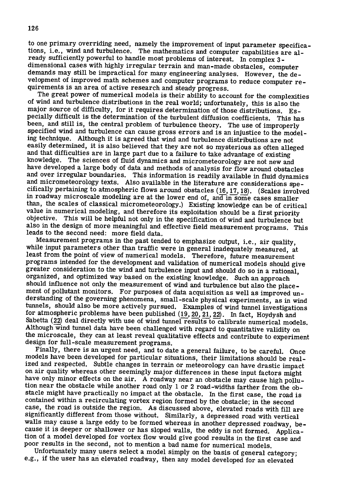to one primary overriding need, namely the improvement of input parameter specifications, i.e., wind and turbulence. The mathematics and computer capabilities are already sufficiently powerful to handle most problems of interest. In complex 3 dimensional cases with highly irregular terrain and man-made obstacles, computer demands may still be impractical for many engineering analyses. However, the development of improved math schemes and computer programs to reduce computer requirements is an area of active research and steady progress.

The great power of numerical models is their ability to account for the complexities of wind and turbulence distributions in the real world; unfortunately, this is also the major source of difficulty, for it requires determination of those distributions. Especially difficult is the determination of the turbulent diffusion coefficients. This has been, and still is, the central problem of turbulence theory. The use of improperly specified wind and turbulence can cause gross errors and is an injustice to the modeling technique. Although it is agreed that wind and turbulence distributions are not easily determined, it is also believed that they are not so mysterious as often alleged and that difficulties are in large part due to a failure to take advantage of existing knowledge. The sciences of fluid dynamics and micrometeorology are not new and have developed a large body of data and methods of analysis for flow around obstacles and over irregular boundaries. This information is readily available in fluid dynamics and micrometeorology texts. Also available in the literature are considerations specifically pertaining to atmospheric flows around obstacles (16, 17, 18). (Scales involved in roadway microscale modeling are at the lower end of, and in some cases smaller than, the scales of classical micrometeorology.) Existing knowledge can be of critical value in numerical modeling, and therefore its exploitation should be a first priority objective. This will be helpful not only in the specification of wind and turbulence but also in the design of more meaningful and effective field measurement programs. This leads to the second need: more field data.

Measurement programs in the past tended to emphasize output, i.e., air quality, while input parameters other than traffic were in general inadequately measured, at least from the point of view of numerical models. Therefore, future measurement programs intended for the development and validation of numerical models should give greater consideration to the wind and turbulence input and should do so in a rational, organized, and optimized way based on the existing knowledge. Such an approach should influence not only the measurement of wind and turbulence but also the placement of pollutant monitors. For purposes of data acquisition as well as improved understanding of the governing phenomena, small-scale physical experiments, as in wind tunnels, should also be more actively pursued. Examples of wind tunnel investigations for atmospheric problems have been published  $(19, 20, 21, 22)$ . In fact, Hoydysh and Sabetta (22) deal directly with use of wind tunnel results to calibrate numerical models. Although wind tunnel data have been challenged with regard to quantitative validity on the microscale, they can at least reveal qualitative effects and contribute to experiment design for full-scale measurement programs.

Finally, there is an urgent need, and to date a general failure, to be careful. Once models have been developed for particular situations, their limitations should be realized and respected. Subtle changes in terrain or meteorology can have drastic impact on air quality whereas other seemingly major differences in these input factors might have only minor effects on the air. A roadway near an obstacle may cause high pollution near the obstacle while another road only 1 or 2 road-widths farther from the obstacle might have practically no impact at the obstacle. In the first case, the road is contained within a recirculating vortex region formed by the obstacle; in the second case, the road is outside the region. As discussed above, elevated roads with fill are significantly different from those without. Similarly, a depressed road with vertical walls may cause a large eddy to be formed whereas in another depressed roadway, because it is deeper or shallower or has sloped walls, the eddy is not formed. Application of a model developed for vortex flow would give good results in the first case and poor results in the second, not to mention a bad name for numerical models.

Unfortunately many users select a model simply on the basis of general category; e.g., if the user has an elevated roadway, then any model developed for an elevated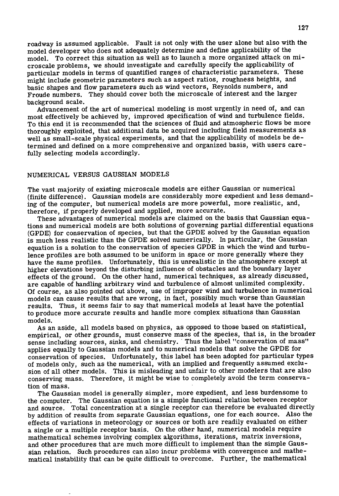roadway is assumed applicable. Fault is not only with the user alone but also with the model developer who does not adequately determine and define applicability of the model. To correct this situation as well as to launch a more organized attack on microscale problems, we should investigate and carefully specify the applicability of particular models in terms of quantified ranges of characteristic parameters. These might include geometric parameters such as aspect ratios, roughness heights, and basic shapes and flow parameters such as wind vectors, Reynolds numbers, and Froude numbers. They should cover both the microscale of interest and the larger background scale.

Advancement of the art of numerical modeling is most urgently in need of, and can most effectively be achieved by, improved specification of wind and turbulence fields. To this end it is recommended that the sciences of fluid and atmospheric flows be more thoroughly exploited, that additional data be acquired including field measurements as well as small-scale physical experiments, and that the applicability of models be determined and defined on a more comprehensive and organized basis, with users carefully selecting models accordingly.

## NUMERICAL VERSUS GAUSSIAN MODELS

The vast majority of existing microscale models are either Gaussian or numerical (finite difference). Gaussian models are considerably more expedient and less demanding of the computer, but numerical models are more powerful, more realistic, and, therefore, if properly developed and applied, more accurate.

These advantages of numerical models are claimed on the basis that Gaussian equations and numerical models are both solutions of governing partial differential equations (GPDE) for conservation of species, but that the GPDE solved by the Gaussian equation is much less realistic than the GPDE solved numerically. In particular, the Gaussian equation is a solution to the conservation of species GPDE in which the wind and turbulence profiles are both assumed to be uniform in space or more generally where they have the same profiles. Unfortunately, this is unrealistic in the atmosphere except at higher elevations beyond the disturbing influence of obstacles and the boundary layer effects of the ground. On the other hand, numerical techniques, as already discussed, are capable of handling arbitrary wind and turbulence of almost unlimited complexity. Of course, as also pointed out above, use of improper wind and turbulence in numerical models can cause results that are wrong, in fact, possibly much worse than Gaussian results. Thus, it seems fair to say that numerical models at least have the potential to produce more accurate results and handle more complex situations than Gaussian models.

As an aside, all models based on physics, as opposed to those based on statistical, empirical, or other grounds, must conserve mass of the species, that is, in the broader sense including sources, sinks, and chemistry. Thus the label "conservation of mass" applies equally to Gaussian models and to numerical models that solve the GPDE for conservation of species. Unfortunately, this label has been adopted for particular types of models only, such as the numerical, with an implied and frequently assumed exclusion of all other models. This is misleading and unfair to other modelers that are also conserving mass. Therefore, it might be wise to completely avoid the term conservation of mass.

The Gaussian model is generally simpler, more expedient, and less burdensome to the computer. The Gaussian equation is a simple functional relation between receptor and source. Total concentration at a single receptor can therefore be evaluated directly by addition of results from separate Gaussian equations, one for each source. Also the effects of variations in meteorology or sources or both are readily evaluated on either a single or a multiple receptor basis. On the other hand, numerical models require mathematical schemes involving complex algorithms, iterations, matrix inversions, and other procedures that are much more difficult to implement than the simple Gaussian relation. Such procedures can also incur problems with convergence and mathematical instability that can be quite difficult to overcome. Further, the mathematical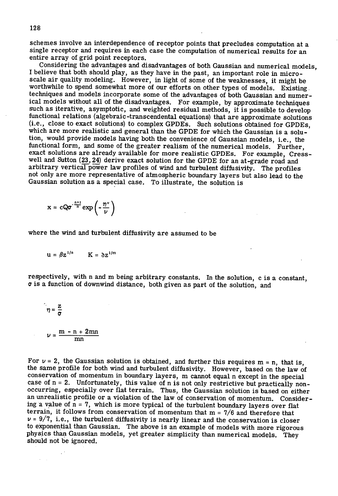schemes involve an interdependence of receptor points that precludes computation at a single receptor and requires in each case the computation of numerical results for an entire array of grid point receptors.

Considering the advantages and disadvantages of both Gaussian and numerical models, I believe that both should play, as they have in the past, an important role in microscale air quality modeling. However, in light of some of the weaknesses, it might be worthwhile to spend somewhat more of our efforts on other types of models. Existing. techniques and models incorporate some of the advantages of both Gaussian and numerical models without all of the disadvantages. For example, by approximate techniques such as iterative, asymptotic, and weighted residual methods, it is possible to develop functional relations (algebraic -transcendental equations) that are approximate solutions (i.e., close to exact solutions) to complex GPDEs. Such solutions obtained for GPDEs, which are more realistic and general than the GPDE for which the Gaussian is a solution, would provide models having both the convenience of Gaussian models, i.e., the functional form, and some of the greater realism of the numerical models. Further, exact solutions are already available for more realistic GPDEs. For example, Cresswell and Sutton (23, 24) derive exact solution for the GPDE for an at-grade road and arbitrary vertical power law profiles of wind and turbulent diffusivity. The profiles not only are more representative of atmospheric boundary layers but also lead to the Gaussian solution as a special case. To illustrate, the solution is

$$
x = cQ\sigma^{-\frac{n+1}{n}} \exp\left(-\frac{\eta^{\nu}}{\nu}\right)
$$

where the wind and turbulent diffusivity are assumed to be

$$
u = \beta z^{1/n} \qquad K = \partial z^{1/m}
$$

respectively, with n and m being arbitrary constants. In the solution, c is a constant,  $\sigma$  is a function of downwind distance, both given as part of the solution, and

$$
\eta = \frac{z}{\sigma}
$$

 $\mathbf{z} = \mathbf{z}$  .

$$
\nu = \frac{\ln - \ln + 2\ln n}{mn}
$$

For  $\nu = 2$ , the Gaussian solution is obtained, and further this requires m = n, that is, the same profile for both wind and turbulent diffusivity. However, based on the law of conservation of momentum in boundary layers, m cannot equal n except in the special case of  $n = 2$ . Unfortunately, this value of n is not only restrictive but practically nonoccurring, especially over flat terrain. Thus, the Gaussian solution is based on either an unrealistic profile or a violation of the law of conservation of momentum. Considering a value of  $n = 7$ , which is more typical of the turbulent boundary layers over flat terrain, it follows from conservation of momentum that  $m = 7/6$  and therefore that  $v = 9/7$ , i.e., the turbulent diffusivity is nearly linear and the conservation is closer to exponential than Gaussian. The above is an example of models with more rigorous physics than Gaussian models, yet greater simplicity than numerical models. They should not be ignored.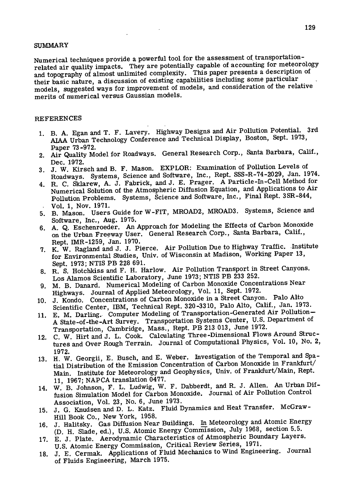#### SUMMARY

Numerical techniques provide a powerful tool for the assessment of transportationrelated air quality impacts. They are potentially capable of accounting for meteorology and topography of almost unlimited complexity. This paper presents a description of their basic nature, a discussion of existing capabilities including some particular models, suggested ways for improvement of models, and consideration of the relative merits of numerical versus Gaussian models.

#### REFERENCES

- B. A. Egan and T. F. Lavery. Highway Designs and Air Pollution Potential. 3rd AIAA Urban Technology Conference and Technical Display, Boston, Sept. 1973, Paper 73-972.
- Air Quality Model for Roadways. General Research Corp., Santa Barbara, Calif.,
- Dec. 1972.<br>J. W. Kirsch and B. F. Mason. EXPLOR: Examination of Pollution Levels of Roadways. Systems, Science and Software, Inc., Rept. SSS-R-74-2029, Jan. 1974.
- 4. R. C. Sklarew, A. J. Fabrick, and J. E. Prager. A Particle-In-Cell Method for Numerical Solution of the Atmospheric Diffusion Equation, and Applications to Air Pollution Problems. Systems, Science and Software, Inc., Final Rept. 35R-844, Vol. 1, Nov. 1971.
- B. Mason. Users Guide for W-FIT, MROAD2, MROAD3. Systems, Science and Software, Inc., Aug. 1975.
- A. Q. Eschenroeder. An Approach for Modeling the Effects of Carbon Monoxide on the Urban Freeway User. General Research Corp., Santa Barbara, Calif., Rept. IMR-1259, Jan. 1970.
- 7. K. W. Ragland and J. J. Pierce. Air Pollution Due to Highway Traffic. Institute for Environmental Studies, Univ. of Wisconsin at Madison, Working Paper 13, Sept. 1973; NTIS PB 228 691.
- R. S. Hotchkiss and F. H. Harlow. Air Pollution Transport in Street Canyons. Los Alamos Scientific Laboratory, June 1973; NTIS PB 233 252.
- M. B. Danard. Numerical Modeling of Carbon Monoxide Concentrations Near Highways. Journal of Applied Meteorology, Vol. 11, Sept. 1972.
- J. Kondo. Concentrations of Carbon Monoxide in a Street Canyon. Palo Alto Scientific Center, IBM, Technical Rept. 320-3310, Palo Alto, Calif., Jan. 1973.
- E. M. Darling, Computer Modeling of Transportation -Generated Air Pollution-11. A State -of -the -Art Survey. Transportation Systems Center, U.S. Department of Transportation, Cambridge, Mass., Rept. PB 213 013, June 1972.
- C. W. Hirt and J. L. Cook. Calculating Three-Dimensional Flows Around Structures and Over Rough Terrain. Journal of Computational Physics, Vol. 10, No. 2,
- 1972. H. W. Georgii, E. Busch, and E. Weber. Investigation of the Temporal and Spatial Distribution of the Emission Concentration of Carbon Monoxide in Frankfurt/ Main. Institute for Meteorology and Geophysics, Univ. of Frankfurt/Main, Rept. 11, 1967; NAPCA translation 0477.
- W. B. Johnson, F. L. Ludwig, W. F. Dabberdt, and R. J. Allen. An Urban Diffusion Simulation Model for Carbon Monoxide. Journal of Air Pollution Control Association, Vol. 23, No. 6, June 1973.
- J. G. Knudsen and D. L. Katz. Fluid Dynamics and Heat Transfer. McGraw-Hill Book Co., New York, 1958.
- 16. J. Halitsky. Gas Diffusion Near Buildings. In Meteorology and Atomic Energy (D. H. Slade, ed.), U.S. Atomic Energy Commission, July 1968, section 5.5.
- E. J. Plate. Aerodynamic Characteristics of Atmospheric Boundary Layers. U.S. Atomic Energy Commission, Critical Review Series, 1971.
- J. E. Cermak. Applications of Fluid Mechanics to Wind Engineering. Journal of Fluids Engineering, March 1975.